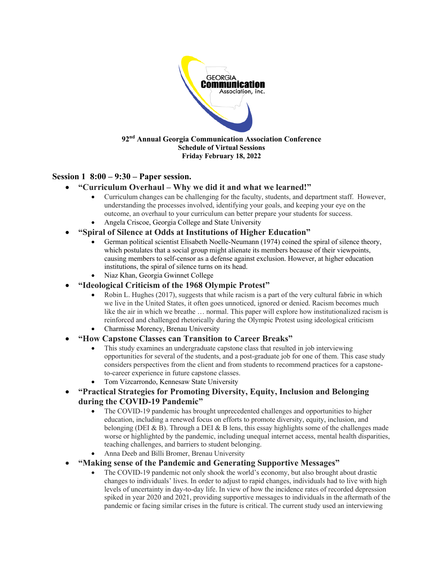

## **Session 1 8:00 – 9:30 – Paper session.**

#### • **"Curriculum Overhaul – Why we did it and what we learned!"**

- Curriculum changes can be challenging for the faculty, students, and department staff. However, understanding the processes involved, identifying your goals, and keeping your eye on the outcome, an overhaul to your curriculum can better prepare your students for success.
- Angela Criscoe, Georgia College and State University
- **"Spiral of Silence at Odds at Institutions of Higher Education"**
	- German political scientist Elisabeth Noelle-Neumann (1974) coined the spiral of silence theory, which postulates that a social group might alienate its members because of their viewpoints, causing members to self-censor as a defense against exclusion. However, at higher education institutions, the spiral of silence turns on its head.
	- Niaz Khan, Georgia Gwinnet College
- **"Ideological Criticism of the 1968 Olympic Protest"**
	- Robin L. Hughes (2017), suggests that while racism is a part of the very cultural fabric in which we live in the United States, it often goes unnoticed, ignored or denied. Racism becomes much like the air in which we breathe … normal. This paper will explore how institutionalized racism is reinforced and challenged rhetorically during the Olympic Protest using ideological criticism
	- Charmisse Morency, Brenau University
- **"How Capstone Classes can Transition to Career Breaks"**
	- This study examines an undergraduate capstone class that resulted in job interviewing opportunities for several of the students, and a post-graduate job for one of them. This case study considers perspectives from the client and from students to recommend practices for a capstoneto-career experience in future capstone classes.
	- Tom Vizcarrondo, Kennesaw State University

#### • **"Practical Strategies for Promoting Diversity, Equity, Inclusion and Belonging during the COVID-19 Pandemic"**

- The COVID-19 pandemic has brought unprecedented challenges and opportunities to higher education, including a renewed focus on efforts to promote diversity, equity, inclusion, and belonging (DEI & B). Through a DEI & B lens, this essay highlights some of the challenges made worse or highlighted by the pandemic, including unequal internet access, mental health disparities, teaching challenges, and barriers to student belonging.
- Anna Deeb and Billi Bromer, Brenau University
- **"Making sense of the Pandemic and Generating Supportive Messages"**
	- The COVID-19 pandemic not only shook the world's economy, but also brought about drastic changes to individuals' lives. In order to adjust to rapid changes, individuals had to live with high levels of uncertainty in day-to-day life. In view of how the incidence rates of recorded depression spiked in year 2020 and 2021, providing supportive messages to individuals in the aftermath of the pandemic or facing similar crises in the future is critical. The current study used an interviewing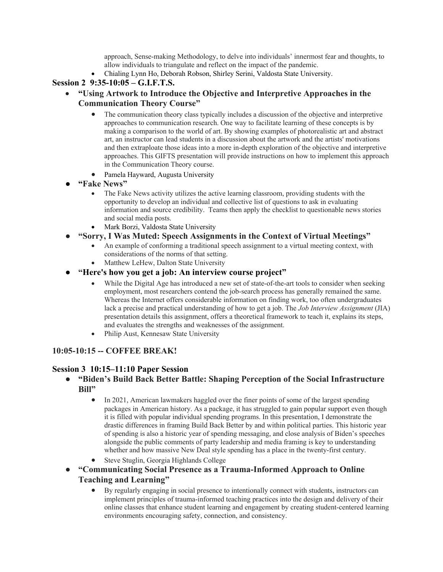approach, Sense-making Methodology, to delve into individuals' innermost fear and thoughts, to allow individuals to triangulate and reflect on the impact of the pandemic.

• Chialing Lynn Ho, Deborah Robson, Shirley Serini, Valdosta State University.

## **Session 2 9:35-10:05 – G.I.F.T.S.**

- **"Using Artwork to Introduce the Objective and Interpretive Approaches in the Communication Theory Course"**
	- The communication theory class typically includes a discussion of the objective and interpretive approaches to communication research. One way to facilitate learning of these concepts is by making a comparison to the world of art. By showing examples of photorealistic art and abstract art, an instructor can lead students in a discussion about the artwork and the artists' motivations and then extraploate those ideas into a more in-depth exploration of the objective and interpretive approaches. This GIFTS presentation will provide instructions on how to implement this approach in the Communication Theory course.
	- Pamela Hayward, Augusta University
- **"Fake News"**
	- The Fake News activity utilizes the active learning classroom, providing students with the opportunity to develop an individual and collective list of questions to ask in evaluating information and source credibility. Teams then apply the checklist to questionable news stories and social media posts.
	- Mark Borzi, Valdosta State University
- **"Sorry, I Was Muted: Speech Assignments in the Context of Virtual Meetings"**
	- An example of conforming a traditional speech assignment to a virtual meeting context, with considerations of the norms of that setting.
	- Matthew LeHew, Dalton State University
- **"Here's how you get a job: An interview course project"**
	- While the Digital Age has introduced a new set of state-of-the-art tools to consider when seeking employment, most researchers contend the job-search process has generally remained the same. Whereas the Internet offers considerable information on finding work, too often undergraduates lack a precise and practical understanding of how to get a job. The *Job Interview Assignment* (JIA) presentation details this assignment, offers a theoretical framework to teach it, explains its steps, and evaluates the strengths and weaknesses of the assignment.
	- Philip Aust, Kennesaw State University

## **10:05-10:15 -- COFFEE BREAK!**

#### **Session 3 10:15–11:10 Paper Session**

- **"Biden's Build Back Better Battle: Shaping Perception of the Social Infrastructure Bill"**
	- In 2021, American lawmakers haggled over the finer points of some of the largest spending packages in American history. As a package, it has struggled to gain popular support even though it is filled with popular individual spending programs. In this presentation, I demonstrate the drastic differences in framing Build Back Better by and within political parties. This historic year of spending is also a historic year of spending messaging, and close analysis of Biden's speeches alongside the public comments of party leadership and media framing is key to understanding whether and how massive New Deal style spending has a place in the twenty-first century.
	- Steve Stuglin, Georgia Highlands College
- **"Communicating Social Presence as a Trauma-Informed Approach to Online Teaching and Learning"**
	- By regularly engaging in social presence to intentionally connect with students, instructors can implement principles of trauma-informed teaching practices into the design and delivery of their online classes that enhance student learning and engagement by creating student-centered learning environments encouraging safety, connection, and consistency.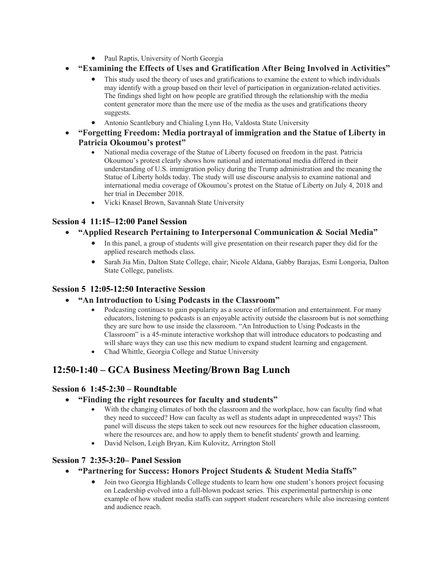- Paul Raptis, University of North Georgia
- **"Examining the Effects of Uses and Gratification After Being Involved in Activities"**
	- This study used the theory of uses and gratifications to examine the extent to which individuals may identify with a group based on their level of participation in organization-related activities. The findings shed light on how people are gratified through the relationship with the media content generator more than the mere use of the media as the uses and gratifications theory suggests.
	- Antonio Scantlebury and Chialing Lynn Ho, Valdosta State University
- **"Forgetting Freedom: Media portrayal of immigration and the Statue of Liberty in Patricia Okoumou's protest"**
	- National media coverage of the Statue of Liberty focused on freedom in the past. Patricia Okoumou's protest clearly shows how national and international media differed in their understanding of U.S. immigration policy during the Trump administration and the meaning the Statue of Liberty holds today. The study will use discourse analysis to examine national and international media coverage of Okoumou's protest on the Statue of Liberty on July 4, 2018 and her trial in December 2018.
	- Vicki Knasel Brown, Savannah State University

## **Session 4 11:15–12:00 Panel Session**

- **"Applied Research Pertaining to Interpersonal Communication & Social Media"**
	- In this panel, a group of students will give presentation on their research paper they did for the applied research methods class.
	- Sarah Jia Min, Dalton State College, chair; Nicole Aldana, Gabby Barajas, Esmi Longoria, Dalton State College, panelists.

#### **Session 5 12:05-12:50 Interactive Session**

- **"An Introduction to Using Podcasts in the Classroom"**
	- Podcasting continues to gain popularity as a source of information and entertainment. For many educators, listening to podcasts is an enjoyable activity outside the classroom but is not something they are sure how to use inside the classroom. "An Introduction to Using Podcasts in the Classroom" is a 45-minute interactive workshop that will introduce educators to podcasting and will share ways they can use this new medium to expand student learning and engagement.
	- Chad Whittle, Georgia College and Statue University

## **12:50-1:40 – GCA Business Meeting/Brown Bag Lunch**

#### **Session 6 1:45-2:30 – Roundtable**

- **"Finding the right resources for faculty and students"**
	- With the changing climates of both the classroom and the workplace, how can faculty find what they need to succeed? How can faculty as well as students adapt in unprecedented ways? This panel will discuss the steps taken to seek out new resources for the higher education classroom, where the resources are, and how to apply them to benefit students' growth and learning.
	- David Nelson, Leigh Bryan, Kim Kulovitz, Arrington Stoll

#### **Session 7 2:35-3:20– Panel Session**

- **"Partnering for Success: Honors Project Students & Student Media Staffs"**
	- Join two Georgia Highlands College students to learn how one student's honors project focusing on Leadership evolved into a full-blown podcast series. This experimental partnership is one example of how student media staffs can support student researchers while also increasing content and audience reach.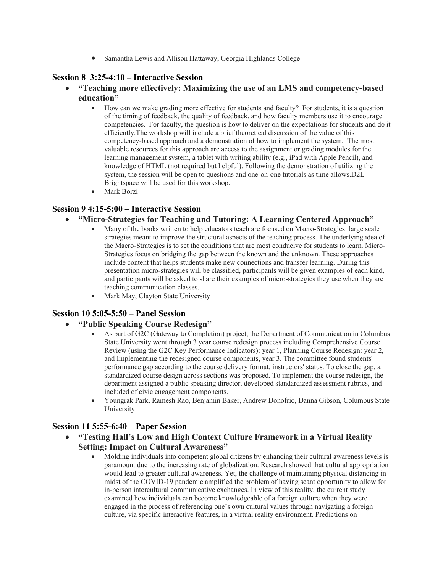• Samantha Lewis and Allison Hattaway, Georgia Highlands College

#### **Session 8 3:25-4:10 – Interactive Session**

- **"Teaching more effectively: Maximizing the use of an LMS and competency-based education"**
	- How can we make grading more effective for students and faculty? For students, it is a question of the timing of feedback, the quality of feedback, and how faculty members use it to encourage competencies. For faculty, the question is how to deliver on the expectations for students and do it efficiently.The workshop will include a brief theoretical discussion of the value of this competency-based approach and a demonstration of how to implement the system. The most valuable resources for this approach are access to the assignment or grading modules for the learning management system, a tablet with writing ability (e.g., iPad with Apple Pencil), and knowledge of HTML (not required but helpful). Following the demonstration of utilizing the system, the session will be open to questions and one-on-one tutorials as time allows.D2L Brightspace will be used for this workshop.
	- Mark Borzi

#### **Session 9 4:15-5:00 – Interactive Session**

- **"Micro-Strategies for Teaching and Tutoring: A Learning Centered Approach"**
	- Many of the books written to help educators teach are focused on Macro-Strategies: large scale strategies meant to improve the structural aspects of the teaching process. The underlying idea of the Macro-Strategies is to set the conditions that are most conducive for students to learn. Micro-Strategies focus on bridging the gap between the known and the unknown. These approaches include content that helps students make new connections and transfer learning. During this presentation micro-strategies will be classified, participants will be given examples of each kind, and participants will be asked to share their examples of micro-strategies they use when they are teaching communication classes.
	- Mark May, Clayton State University

#### **Session 10 5:05-5:50 – Panel Session**

- **"Public Speaking Course Redesign"**
	- As part of G2C (Gateway to Completion) project, the Department of Communication in Columbus State University went through 3 year course redesign process including Comprehensive Course Review (using the G2C Key Performance Indicators): year 1, Planning Course Redesign: year 2, and Implementing the redesigned course components, year 3. The committee found students' performance gap according to the course delivery format, instructors' status. To close the gap, a standardized course design across sections was proposed. To implement the course redesign, the department assigned a public speaking director, developed standardized assessment rubrics, and included of civic engagement components.
	- Youngrak Park, Ramesh Rao, Benjamin Baker, Andrew Donofrio, Danna Gibson, Columbus State University

## **Session 11 5:55-6:40 – Paper Session**

- **"Testing Hall's Low and High Context Culture Framework in a Virtual Reality Setting: Impact on Cultural Awareness"**
	- Molding individuals into competent global citizens by enhancing their cultural awareness levels is paramount due to the increasing rate of globalization. Research showed that cultural appropriation would lead to greater cultural awareness. Yet, the challenge of maintaining physical distancing in midst of the COVID-19 pandemic amplified the problem of having scant opportunity to allow for in-person intercultural communicative exchanges. In view of this reality, the current study examined how individuals can become knowledgeable of a foreign culture when they were engaged in the process of referencing one's own cultural values through navigating a foreign culture, via specific interactive features, in a virtual reality environment. Predictions on